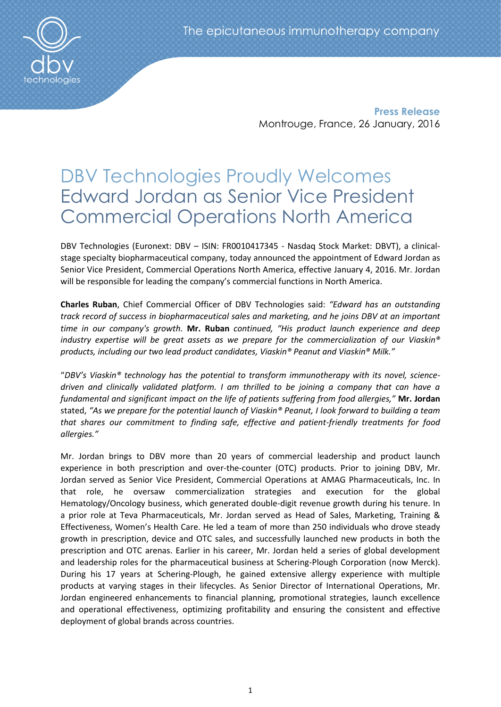**Press Release** Montrouge, France, 26 January, 2016

# DBV Technologies Proudly Welcomes Edward Jordan as Senior Vice President Commercial Operations North America

DBV Technologies (Euronext: DBV – ISIN: FR0010417345 - Nasdaq Stock Market: DBVT), a clinicalstage specialty biopharmaceutical company, today announced the appointment of Edward Jordan as Senior Vice President, Commercial Operations North America, effective January 4, 2016. Mr. Jordan will be responsible for leading the company's commercial functions in North America.

**Charles Ruban**, Chief Commercial Officer of DBV Technologies said: *"Edward has an outstanding track record of success in biopharmaceutical sales and marketing, and he joins DBV at an important time in our company's growth.* **Mr. Ruban** *continued, "His product launch experience and deep industry expertise will be great assets as we prepare for the commercialization of our Viaskin® products, including our two lead product candidates, Viaskin® Peanut and Viaskin® Milk."* 

"*DBV's Viaskin® technology has the potential to transform immunotherapy with its novel, sciencedriven and clinically validated platform. I am thrilled to be joining a company that can have a fundamental and significant impact on the life of patients suffering from food allergies,"* **Mr. Jordan** stated, *"As we prepare for the potential launch of Viaskin® Peanut, I look forward to building a team that shares our commitment to finding safe, effective and patient-friendly treatments for food allergies."* 

Mr. Jordan brings to DBV more than 20 years of commercial leadership and product launch experience in both prescription and over-the-counter (OTC) products. Prior to joining DBV, Mr. Jordan served as Senior Vice President, Commercial Operations at AMAG Pharmaceuticals, Inc. In that role, he oversaw commercialization strategies and execution for the global Hematology/Oncology business, which generated double-digit revenue growth during his tenure. In a prior role at Teva Pharmaceuticals, Mr. Jordan served as Head of Sales, Marketing, Training & Effectiveness, Women's Health Care. He led a team of more than 250 individuals who drove steady growth in prescription, device and OTC sales, and successfully launched new products in both the prescription and OTC arenas. Earlier in his career, Mr. Jordan held a series of global development and leadership roles for the pharmaceutical business at Schering-Plough Corporation (now Merck). During his 17 years at Schering-Plough, he gained extensive allergy experience with multiple products at varying stages in their lifecycles. As Senior Director of International Operations, Mr. Jordan engineered enhancements to financial planning, promotional strategies, launch excellence and operational effectiveness, optimizing profitability and ensuring the consistent and effective deployment of global brands across countries.